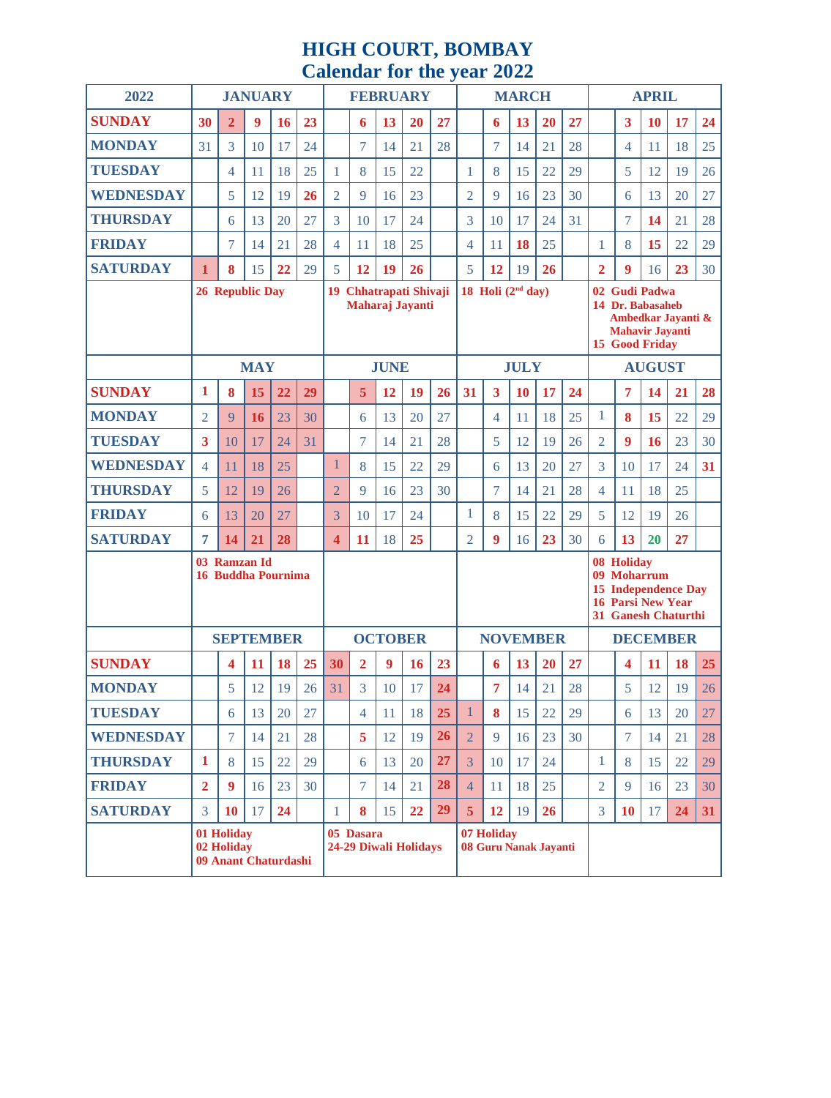# **HIGH COURT, BOMBAY Calendar for the year 2022**

| 2022             | <b>JANUARY</b>                                   |                |            |                  |                                                     | <b>FEBRUARY</b>                           |                            |    |           |                     | <b>MARCH</b>                        |                          |           |                                                                                                                                |                                                                                                            | <b>APRIL</b>    |    |           |    |    |
|------------------|--------------------------------------------------|----------------|------------|------------------|-----------------------------------------------------|-------------------------------------------|----------------------------|----|-----------|---------------------|-------------------------------------|--------------------------|-----------|--------------------------------------------------------------------------------------------------------------------------------|------------------------------------------------------------------------------------------------------------|-----------------|----|-----------|----|----|
| <b>SUNDAY</b>    | 30                                               | $\overline{2}$ | 9          | 16               | 23                                                  |                                           | 6                          | 13 | 20        | 27                  |                                     | 6                        | 13        | 20                                                                                                                             | 27                                                                                                         |                 | 3  | 10        | 17 | 24 |
| <b>MONDAY</b>    | 31                                               | 3              | 10         | 17               | 24                                                  |                                           | 7                          | 14 | 21        | 28                  |                                     | 7                        | 14        | 21                                                                                                                             | 28                                                                                                         |                 | 4  | 11        | 18 | 25 |
| <b>TUESDAY</b>   |                                                  | 4              | 11         | 18               | 25                                                  | 1                                         | 8                          | 15 | 22        |                     | $\mathbf{1}$                        | 8                        | 15        | 22                                                                                                                             | 29                                                                                                         |                 | 5  | 12        | 19 | 26 |
| <b>WEDNESDAY</b> |                                                  | 5              | 12         | 19               | 26                                                  | $\overline{2}$                            | 9                          | 16 | 23        |                     | $\overline{2}$                      | 9                        | 16        | 23                                                                                                                             | 30                                                                                                         |                 | 6  | 13        | 20 | 27 |
| <b>THURSDAY</b>  |                                                  | 6              | 13         | 20               | 27                                                  | 3                                         | 10                         | 17 | 24        |                     | 3                                   | 10                       | 17        | 24                                                                                                                             | 31                                                                                                         |                 | 7  | 14        | 21 | 28 |
| <b>FRIDAY</b>    |                                                  | 7              | 14         | 21               | 28                                                  | 4                                         | 11                         | 18 | 25        |                     | $\overline{4}$                      | 11                       | 18        | 25                                                                                                                             |                                                                                                            | 1               | 8  | 15        | 22 | 29 |
| <b>SATURDAY</b>  | $\mathbf{1}$                                     | 8              | 15         | 22               | 29                                                  | 5                                         | 12                         | 19 | 26        |                     | 5                                   | 12                       | 19        | 26                                                                                                                             |                                                                                                            | 2               | 9  | 16        | 23 | 30 |
|                  | <b>26 Republic Day</b>                           |                |            |                  | 19<br><b>Chhatrapati Shivaji</b><br>Maharaj Jayanti |                                           |                            |    |           | 18 Holi $(2nd day)$ |                                     |                          |           |                                                                                                                                | 02 Gudi Padwa<br>14 Dr. Babasaheb<br>Ambedkar Jayanti &<br><b>Mahavir Jayanti</b><br><b>15 Good Friday</b> |                 |    |           |    |    |
|                  |                                                  |                | <b>MAY</b> |                  |                                                     |                                           | <b>JUNE</b><br><b>JULY</b> |    |           |                     |                                     |                          |           | <b>AUGUST</b>                                                                                                                  |                                                                                                            |                 |    |           |    |    |
| <b>SUNDAY</b>    | 1                                                | 8              | 15         | 22               | 29                                                  |                                           | 5                          | 12 | 19        | 26                  | 31                                  | 3                        | <b>10</b> | 17                                                                                                                             | 24                                                                                                         |                 | 7  | 14        | 21 | 28 |
| <b>MONDAY</b>    | $\overline{2}$                                   | 9              | 16         | 23               | 30                                                  |                                           | 6                          | 13 | 20        | 27                  |                                     | $\overline{\mathcal{A}}$ | 11        | 18                                                                                                                             | 25                                                                                                         | 1               | 8  | 15        | 22 | 29 |
| <b>TUESDAY</b>   | 3                                                | 10             | 17         | 24               | 31                                                  |                                           | 7                          | 14 | 21        | 28                  |                                     | 5                        | 12        | 19                                                                                                                             | 26                                                                                                         | $\overline{2}$  | 9  | <b>16</b> | 23 | 30 |
| <b>WEDNESDAY</b> | 4                                                | 11             | 18         | 25               |                                                     | 1                                         | 8                          | 15 | 22        | 29                  |                                     | 6                        | 13        | 20                                                                                                                             | 27                                                                                                         | 3               | 10 | 17        | 24 | 31 |
| <b>THURSDAY</b>  | 5                                                | 12             | 19         | 26               |                                                     | $\overline{2}$                            | 9                          | 16 | 23        | 30                  |                                     | 7                        | 14        | 21                                                                                                                             | 28                                                                                                         | 4               | 11 | 18        | 25 |    |
| <b>FRIDAY</b>    | 6                                                | 13             | 20         | 27               |                                                     | 3                                         | 10                         | 17 | 24        |                     | $\mathbf{1}$                        | 8                        | 15        | 22                                                                                                                             | 29                                                                                                         | 5               | 12 | 19        | 26 |    |
| <b>SATURDAY</b>  | 7                                                | 14             | 21         | 28               |                                                     | 4                                         | 11                         | 18 | 25        |                     | $\overline{2}$                      | 9                        | 16        | 23                                                                                                                             | 30                                                                                                         | 6               | 13 | 20        | 27 |    |
|                  | 03 Ramzan Id<br><b>Buddha Pournima</b><br>16     |                |            |                  |                                                     |                                           |                            |    |           |                     |                                     |                          |           | 08 Holiday<br><b>Moharrum</b><br>09<br><b>Independence Day</b><br>15<br><b>16 Parsi New Year</b><br><b>31 Ganesh Chaturthi</b> |                                                                                                            |                 |    |           |    |    |
|                  |                                                  |                |            | <b>SEPTEMBER</b> |                                                     | <b>OCTOBER</b>                            |                            |    |           |                     | <b>NOVEMBER</b>                     |                          |           |                                                                                                                                |                                                                                                            | <b>DECEMBER</b> |    |           |    |    |
| <b>SUNDAY</b>    |                                                  | 4              | 11         | <b>18</b>        | 25                                                  | 30                                        | $\overline{2}$             | 9  | <b>16</b> | 23                  |                                     | 6                        | 13        | <b>20</b>                                                                                                                      | 27                                                                                                         |                 | 4  | <b>11</b> | 18 | 25 |
| <b>MONDAY</b>    |                                                  | 5              | 12         | 19               | 26                                                  | 31                                        | 3                          | 10 | 17        | 24                  |                                     | 7                        | 14        | 21                                                                                                                             | 28                                                                                                         |                 | 5  | 12        | 19 | 26 |
| <b>TUESDAY</b>   |                                                  | 6              | 13         | 20               | 27                                                  |                                           | 4                          | 11 | 18        | 25                  | $\mathbf{1}$                        | 8                        | 15        | 22                                                                                                                             | 29                                                                                                         |                 | 6  | 13        | 20 | 27 |
| <b>WEDNESDAY</b> |                                                  | 7              | 14         | 21               | 28                                                  |                                           | 5                          | 12 | 19        | <b>26</b>           | $\overline{2}$                      | 9                        | 16        | 23                                                                                                                             | 30                                                                                                         |                 | 7  | 14        | 21 | 28 |
| <b>THURSDAY</b>  | $\mathbf{1}$                                     | 8              | 15         | 22               | 29                                                  |                                           | 6                          | 13 | 20        | 27                  | 3                                   | 10                       | 17        | 24                                                                                                                             |                                                                                                            | $\mathbf{1}$    | 8  | 15        | 22 | 29 |
| <b>FRIDAY</b>    | $\overline{2}$                                   | 9              | 16         | 23               | 30                                                  |                                           | 7                          | 14 | 21        | 28                  | $\overline{4}$                      | 11                       | 18        | 25                                                                                                                             |                                                                                                            | $\overline{2}$  | 9  | 16        | 23 | 30 |
| <b>SATURDAY</b>  | 3                                                | 10             | 17         | 24               |                                                     | $\mathbf{1}$                              | 8                          | 15 | 22        | 29                  | 5 <sup>5</sup>                      | 12                       | 19        | 26                                                                                                                             |                                                                                                            | 3               | 10 | 17        | 24 | 31 |
|                  | 01 Holiday<br>02 Holiday<br>09 Anant Chaturdashi |                |            |                  |                                                     | 05 Dasara<br><b>24-29 Diwali Holidays</b> |                            |    |           |                     | 07 Holiday<br>08 Guru Nanak Jayanti |                          |           |                                                                                                                                |                                                                                                            |                 |    |           |    |    |